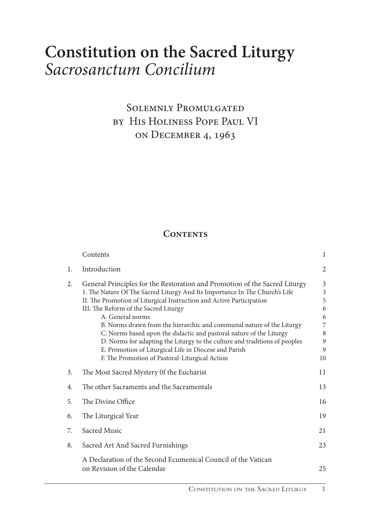# **Constitution on the Sacred Liturgy**  *Sacrosanctum Concilium*

Solemnly Promulgated by His Holiness Pope Paul VI on December 4, 1963

## CONTENTS

|    | Contents                                                                                                                                                                                                                                                                                                                                                                                                                                                                                                                                                                                                                                | $\mathbf 1$                                                                |
|----|-----------------------------------------------------------------------------------------------------------------------------------------------------------------------------------------------------------------------------------------------------------------------------------------------------------------------------------------------------------------------------------------------------------------------------------------------------------------------------------------------------------------------------------------------------------------------------------------------------------------------------------------|----------------------------------------------------------------------------|
| 1. | Introduction                                                                                                                                                                                                                                                                                                                                                                                                                                                                                                                                                                                                                            | $\overline{c}$                                                             |
| 2. | General Principles for the Restoration and Promotion of the Sacred Liturgy<br>1. The Nature Of The Sacred Liturgy And Its Importance In The Church's Life<br>II. The Promotion of Liturgical Instruction and Active Participation<br>III. The Reform of the Sacred Liturgy<br>A. General norms<br>B. Norms drawn from the hierarchic and communal nature of the Liturgy<br>C. Norms based upon the didactic and pastoral nature of the Liturgy<br>D. Norms for adapting the Liturgy to the culture and traditions of peoples<br>E. Promotion of Liturgical Life in Diocese and Parish<br>F. The Promotion of Pastoral-Liturgical Action | $\mathfrak{Z}$<br>3<br>5<br>6<br>$\ddot{\theta}$<br>7<br>8<br>9<br>9<br>10 |
| 3. | The Most Sacred Mystery 0f the Eucharist                                                                                                                                                                                                                                                                                                                                                                                                                                                                                                                                                                                                | 11                                                                         |
| 4. | The other Sacraments and the Sacramentals                                                                                                                                                                                                                                                                                                                                                                                                                                                                                                                                                                                               | 13                                                                         |
| 5. | The Divine Office                                                                                                                                                                                                                                                                                                                                                                                                                                                                                                                                                                                                                       | 16                                                                         |
| 6. | The Liturgical Year                                                                                                                                                                                                                                                                                                                                                                                                                                                                                                                                                                                                                     | 19                                                                         |
| 7. | Sacred Music                                                                                                                                                                                                                                                                                                                                                                                                                                                                                                                                                                                                                            | 21                                                                         |
| 8. | Sacred Art And Sacred Furnishings                                                                                                                                                                                                                                                                                                                                                                                                                                                                                                                                                                                                       | 23                                                                         |
|    | A Declaration of the Second Ecumenical Council of the Vatican<br>on Revision of the Calendar                                                                                                                                                                                                                                                                                                                                                                                                                                                                                                                                            | 25                                                                         |
|    |                                                                                                                                                                                                                                                                                                                                                                                                                                                                                                                                                                                                                                         |                                                                            |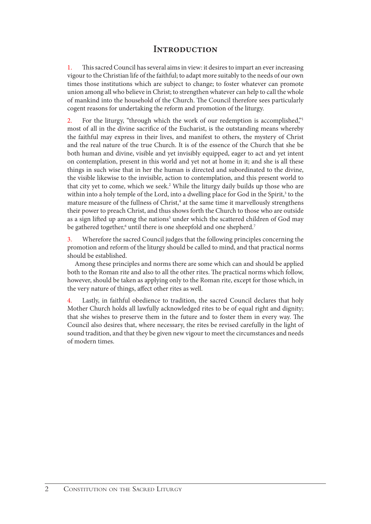## **Introduction**

<span id="page-1-0"></span>1. This sacred Council has several aims in view: it desires to impart an ever increasing vigour to the Christian life of the faithful; to adapt more suitably to the needs of our own times those institutions which are subject to change; to foster whatever can promote union among all who believe in Christ; to strengthen whatever can help to call the whole of mankind into the household of the Church. The Council therefore sees particularly cogent reasons for undertaking the reform and promotion of the liturgy.

2. For the liturgy, "through which the work of our redemption is accomplished," most of all in the divine sacrifice of the Eucharist, is the outstanding means whereby the faithful may express in their lives, and manifest to others, the mystery of Christ and the real nature of the true Church. It is of the essence of the Church that she be both human and divine, visible and yet invisibly equipped, eager to act and yet intent on contemplation, present in this world and yet not at home in it; and she is all these things in such wise that in her the human is directed and subordinated to the divine, the visible likewise to the invisible, action to contemplation, and this present world to that city yet to come, which we seek.<sup>2</sup> While the liturgy daily builds up those who are within into a holy temple of the Lord, into a dwelling place for God in the Spirit,<sup>3</sup> to the mature measure of the fullness of Christ,<sup>4</sup> at the same time it marvellously strengthens their power to preach Christ, and thus shows forth the Church to those who are outside as a sign lifted up among the nations<sup>5</sup> under which the scattered children of God may be gathered together,<sup>6</sup> until there is one sheepfold and one shepherd.<sup>7</sup>

Wherefore the sacred Council judges that the following principles concerning the promotion and reform of the liturgy should be called to mind, and that practical norms should be established.

Among these principles and norms there are some which can and should be applied both to the Roman rite and also to all the other rites. The practical norms which follow, however, should be taken as applying only to the Roman rite, except for those which, in the very nature of things, affect other rites as well.

4. Lastly, in faithful obedience to tradition, the sacred Council declares that holy Mother Church holds all lawfully acknowledged rites to be of equal right and dignity; that she wishes to preserve them in the future and to foster them in every way. The Council also desires that, where necessary, the rites be revised carefully in the light of sound tradition, and that they be given new vigour to meet the circumstances and needs of modern times.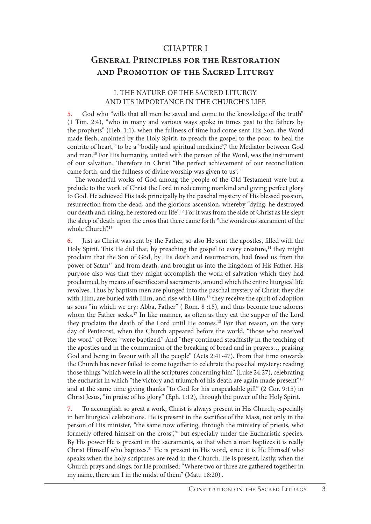#### **CHAPTER I**

# <span id="page-2-0"></span>**General Principles for the Restoration and Promotion of the Sacred Liturgy**

#### I. The Nature Of The Sacred Liturgy And Its Importance In The Church's Life

5. God who "wills that all men be saved and come to the knowledge of the truth" (1 Tim. 2:4), "who in many and various ways spoke in times past to the fathers by the prophets" (Heb. 1:1), when the fullness of time had come sent His Son, the Word made flesh, anointed by the Holy Spirit, to preach the gospel to the poor, to heal the contrite of heart,<sup>8</sup> to be a "bodily and spiritual medicine",<sup>9</sup> the Mediator between God and man.10 For His humanity, united with the person of the Word, was the instrument of our salvation. Therefore in Christ "the perfect achievement of our reconciliation came forth, and the fullness of divine worship was given to us".<sup>11</sup>

The wonderful works of God among the people of the Old Testament were but a prelude to the work of Christ the Lord in redeeming mankind and giving perfect glory to God. He achieved His task principally by the paschal mystery of His blessed passion, resurrection from the dead, and the glorious ascension, whereby "dying, he destroyed our death and, rising, he restored our life".12 For it was from the side of Christ as He slept the sleep of death upon the cross that there came forth "the wondrous sacrament of the whole Church".<sup>13</sup>

6. Just as Christ was sent by the Father, so also He sent the apostles, filled with the Holy Spirit. This He did that, by preaching the gospel to every creature, $14$  they might proclaim that the Son of God, by His death and resurrection, had freed us from the power of Satan<sup>15</sup> and from death, and brought us into the kingdom of His Father. His purpose also was that they might accomplish the work of salvation which they had proclaimed, by means of sacrifice and sacraments, around which the entire liturgical life revolves. Thus by baptism men are plunged into the paschal mystery of Christ: they die with Him, are buried with Him, and rise with Him;<sup>16</sup> they receive the spirit of adoption as sons "in which we cry: Abba, Father" ( Rom. 8 :15), and thus become true adorers whom the Father seeks.<sup>17</sup> In like manner, as often as they eat the supper of the Lord they proclaim the death of the Lord until He comes.<sup>18</sup> For that reason, on the very day of Pentecost, when the Church appeared before the world, "those who received the word" of Peter "were baptized." And "they continued steadfastly in the teaching of the apostles and in the communion of the breaking of bread and in prayers… praising God and being in favour with all the people" (Acts 2:41-47). From that time onwards the Church has never failed to come together to celebrate the paschal mystery: reading those things "which were in all the scriptures concerning him" (Luke 24:27), celebrating the eucharist in which "the victory and triumph of his death are again made present".<sup>19</sup> and at the same time giving thanks "to God for his unspeakable gift" (2 Cor. 9:15) in Christ Jesus, "in praise of his glory" (Eph. 1:12), through the power of the Holy Spirit.

7. To accomplish so great a work, Christ is always present in His Church, especially in her liturgical celebrations. He is present in the sacrifice of the Mass, not only in the person of His minister, "the same now offering, through the ministry of priests, who formerly offered himself on the cross",<sup>20</sup> but especially under the Eucharistic species. By His power He is present in the sacraments, so that when a man baptizes it is really Christ Himself who baptizes.21 He is present in His word, since it is He Himself who speaks when the holy scriptures are read in the Church. He is present, lastly, when the Church prays and sings, for He promised: "Where two or three are gathered together in my name, there am I in the midst of them" (Matt. 18:20) .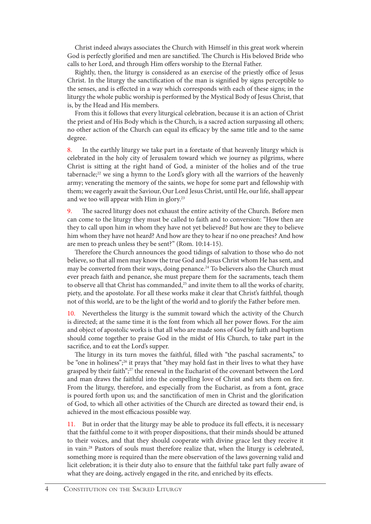Christ indeed always associates the Church with Himself in this great work wherein God is perfectly glorified and men are sanctified. The Church is His beloved Bride who calls to her Lord, and through Him offers worship to the Eternal Father.

Rightly, then, the liturgy is considered as an exercise of the priestly office of Jesus Christ. In the liturgy the sanctification of the man is signified by signs perceptible to the senses, and is effected in a way which corresponds with each of these signs; in the liturgy the whole public worship is performed by the Mystical Body of Jesus Christ, that is, by the Head and His members.

From this it follows that every liturgical celebration, because it is an action of Christ the priest and of His Body which is the Church, is a sacred action surpassing all others; no other action of the Church can equal its efficacy by the same title and to the same degree.

8. In the earthly liturgy we take part in a foretaste of that heavenly liturgy which is celebrated in the holy city of Jerusalem toward which we journey as pilgrims, where Christ is sitting at the right hand of God, a minister of the holies and of the true tabernacle;<sup>22</sup> we sing a hymn to the Lord's glory with all the warriors of the heavenly army; venerating the memory of the saints, we hope for some part and fellowship with them; we eagerly await the Saviour, Our Lord Jesus Christ, until He, our life, shall appear and we too will appear with Him in glory.<sup>23</sup>

9. The sacred liturgy does not exhaust the entire activity of the Church. Before men can come to the liturgy they must be called to faith and to conversion: "How then are they to call upon him in whom they have not yet believed? But how are they to believe him whom they have not heard? And how are they to hear if no one preaches? And how are men to preach unless they be sent?" (Rom. 10:14-15).

Therefore the Church announces the good tidings of salvation to those who do not believe, so that all men may know the true God and Jesus Christ whom He has sent, and may be converted from their ways, doing penance.<sup>24</sup> To believers also the Church must ever preach faith and penance, she must prepare them for the sacraments, teach them to observe all that Christ has commanded,<sup>25</sup> and invite them to all the works of charity, piety, and the apostolate. For all these works make it clear that Christ's faithful, though not of this world, are to be the light of the world and to glorify the Father before men.

10. Nevertheless the liturgy is the summit toward which the activity of the Church is directed; at the same time it is the font from which all her power flows. For the aim and object of apostolic works is that all who are made sons of God by faith and baptism should come together to praise God in the midst of His Church, to take part in the sacrifice, and to eat the Lord's supper.

The liturgy in its turn moves the faithful, filled with "the paschal sacraments," to be "one in holiness";26 it prays that "they may hold fast in their lives to what they have grasped by their faith";<sup>27</sup> the renewal in the Eucharist of the covenant between the Lord and man draws the faithful into the compelling love of Christ and sets them on fire. From the liturgy, therefore, and especially from the Eucharist, as from a font, grace is poured forth upon us; and the sanctification of men in Christ and the glorification of God, to which all other activities of the Church are directed as toward their end, is achieved in the most efficacious possible way.

11. But in order that the liturgy may be able to produce its full effects, it is necessary that the faithful come to it with proper dispositions, that their minds should be attuned to their voices, and that they should cooperate with divine grace lest they receive it in vain.28 Pastors of souls must therefore realize that, when the liturgy is celebrated, something more is required than the mere observation of the laws governing valid and licit celebration; it is their duty also to ensure that the faithful take part fully aware of what they are doing, actively engaged in the rite, and enriched by its effects.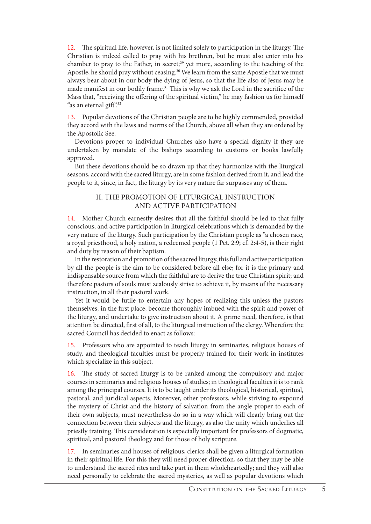<span id="page-4-0"></span>12. The spiritual life, however, is not limited solely to participation in the liturgy. The Christian is indeed called to pray with his brethren, but he must also enter into his chamber to pray to the Father, in secret;<sup>29</sup> yet more, according to the teaching of the Apostle, he should pray without ceasing.<sup>30</sup> We learn from the same Apostle that we must always bear about in our body the dying of Jesus, so that the life also of Jesus may be made manifest in our bodily frame.<sup>31</sup> This is why we ask the Lord in the sacrifice of the Mass that, "receiving the offering of the spiritual victim," he may fashion us for himself "as an eternal gift".<sup>32</sup>

13. Popular devotions of the Christian people are to be highly commended, provided they accord with the laws and norms of the Church, above all when they are ordered by the Apostolic See.

Devotions proper to individual Churches also have a special dignity if they are undertaken by mandate of the bishops according to customs or books lawfully approved.

But these devotions should be so drawn up that they harmonize with the liturgical seasons, accord with the sacred liturgy, are in some fashion derived from it, and lead the people to it, since, in fact, the liturgy by its very nature far surpasses any of them.

#### II. The Promotion of Liturgical Instruction and Active Participation

14. Mother Church earnestly desires that all the faithful should be led to that fully conscious, and active participation in liturgical celebrations which is demanded by the very nature of the liturgy. Such participation by the Christian people as "a chosen race, a royal priesthood, a holy nation, a redeemed people (1 Pet. 2:9; cf. 2:4-5), is their right and duty by reason of their baptism.

In the restoration and promotion of the sacred liturgy, this full and active participation by all the people is the aim to be considered before all else; for it is the primary and indispensable source from which the faithful are to derive the true Christian spirit; and therefore pastors of souls must zealously strive to achieve it, by means of the necessary instruction, in all their pastoral work.

Yet it would be futile to entertain any hopes of realizing this unless the pastors themselves, in the first place, become thoroughly imbued with the spirit and power of the liturgy, and undertake to give instruction about it. A prime need, therefore, is that attention be directed, first of all, to the liturgical instruction of the clergy. Wherefore the sacred Council has decided to enact as follows:

15. Professors who are appointed to teach liturgy in seminaries, religious houses of study, and theological faculties must be properly trained for their work in institutes which specialize in this subject.

16. The study of sacred liturgy is to be ranked among the compulsory and major courses in seminaries and religious houses of studies; in theological faculties it is to rank among the principal courses. It is to be taught under its theological, historical, spiritual, pastoral, and juridical aspects. Moreover, other professors, while striving to expound the mystery of Christ and the history of salvation from the angle proper to each of their own subjects, must nevertheless do so in a way which will clearly bring out the connection between their subjects and the liturgy, as also the unity which underlies all priestly training. This consideration is especially important for professors of dogmatic, spiritual, and pastoral theology and for those of holy scripture.

17. In seminaries and houses of religious, clerics shall be given a liturgical formation in their spiritual life. For this they will need proper direction, so that they may be able to understand the sacred rites and take part in them wholeheartedly; and they will also need personally to celebrate the sacred mysteries, as well as popular devotions which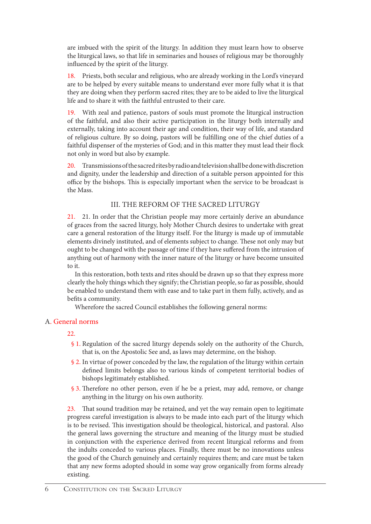<span id="page-5-0"></span>are imbued with the spirit of the liturgy. In addition they must learn how to observe the liturgical laws, so that life in seminaries and houses of religious may be thoroughly influenced by the spirit of the liturgy.

18. Priests, both secular and religious, who are already working in the Lord's vineyard are to be helped by every suitable means to understand ever more fully what it is that they are doing when they perform sacred rites; they are to be aided to live the liturgical life and to share it with the faithful entrusted to their care.

19. With zeal and patience, pastors of souls must promote the liturgical instruction of the faithful, and also their active participation in the liturgy both internally and externally, taking into account their age and condition, their way of life, and standard of religious culture. By so doing, pastors will be fulfilling one of the chief duties of a faithful dispenser of the mysteries of God; and in this matter they must lead their flock not only in word but also by example.

20. Transmissions of the sacred rites by radio and television shall be done with discretion and dignity, under the leadership and direction of a suitable person appointed for this office by the bishops. This is especially important when the service to be broadcast is the Mass.

### III. The Reform of the Sacred Liturgy

21. 21. In order that the Christian people may more certainly derive an abundance of graces from the sacred liturgy, holy Mother Church desires to undertake with great care a general restoration of the liturgy itself. For the liturgy is made up of immutable elements divinely instituted, and of elements subject to change. These not only may but ought to be changed with the passage of time if they have suffered from the intrusion of anything out of harmony with the inner nature of the liturgy or have become unsuited to it.

In this restoration, both texts and rites should be drawn up so that they express more clearly the holy things which they signify; the Christian people, so far as possible, should be enabled to understand them with ease and to take part in them fully, actively, and as befits a community.

Wherefore the sacred Council establishes the following general norms:

### A. General norms

 $22.$ 

- § 1. Regulation of the sacred liturgy depends solely on the authority of the Church, that is, on the Apostolic See and, as laws may determine, on the bishop.
- § 2. In virtue of power conceded by the law, the regulation of the liturgy within certain defined limits belongs also to various kinds of competent territorial bodies of bishops legitimately established.
- § 3. Therefore no other person, even if he be a priest, may add, remove, or change anything in the liturgy on his own authority.

23. That sound tradition may be retained, and yet the way remain open to legitimate progress careful investigation is always to be made into each part of the liturgy which is to be revised. This investigation should be theological, historical, and pastoral. Also the general laws governing the structure and meaning of the liturgy must be studied in conjunction with the experience derived from recent liturgical reforms and from the indults conceded to various places. Finally, there must be no innovations unless the good of the Church genuinely and certainly requires them; and care must be taken that any new forms adopted should in some way grow organically from forms already existing.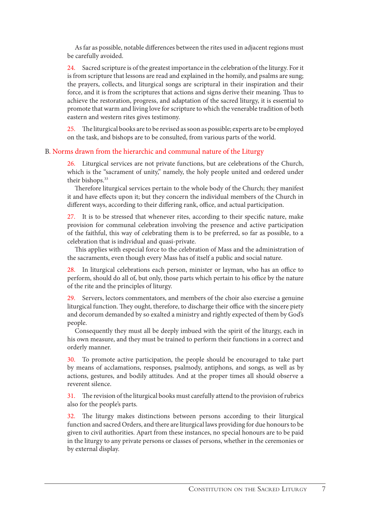<span id="page-6-0"></span>As far as possible, notable differences between the rites used in adjacent regions must be carefully avoided.

24. Sacred scripture is of the greatest importance in the celebration of the liturgy. For it is from scripture that lessons are read and explained in the homily, and psalms are sung; the prayers, collects, and liturgical songs are scriptural in their inspiration and their force, and it is from the scriptures that actions and signs derive their meaning. Thus to achieve the restoration, progress, and adaptation of the sacred liturgy, it is essential to promote that warm and living love for scripture to which the venerable tradition of both eastern and western rites gives testimony.

25. The liturgical books are to be revised as soon as possible; experts are to be employed on the task, and bishops are to be consulted, from various parts of the world.

#### B. Norms drawn from the hierarchic and communal nature of the Liturgy

26. Liturgical services are not private functions, but are celebrations of the Church, which is the "sacrament of unity," namely, the holy people united and ordered under their bishops.<sup>33</sup>

Therefore liturgical services pertain to the whole body of the Church; they manifest it and have effects upon it; but they concern the individual members of the Church in different ways, according to their differing rank, office, and actual participation.

27. It is to be stressed that whenever rites, according to their specific nature, make provision for communal celebration involving the presence and active participation of the faithful, this way of celebrating them is to be preferred, so far as possible, to a celebration that is individual and quasi-private.

This applies with especial force to the celebration of Mass and the administration of the sacraments, even though every Mass has of itself a public and social nature.

28. In liturgical celebrations each person, minister or layman, who has an office to perform, should do all of, but only, those parts which pertain to his office by the nature of the rite and the principles of liturgy.

29. Servers, lectors commentators, and members of the choir also exercise a genuine liturgical function. They ought, therefore, to discharge their office with the sincere piety and decorum demanded by so exalted a ministry and rightly expected of them by God's people.

Consequently they must all be deeply imbued with the spirit of the liturgy, each in his own measure, and they must be trained to perform their functions in a correct and orderly manner.

30. To promote active participation, the people should be encouraged to take part by means of acclamations, responses, psalmody, antiphons, and songs, as well as by actions, gestures, and bodily attitudes. And at the proper times all should observe a reverent silence.

31. The revision of the liturgical books must carefully attend to the provision of rubrics also for the people's parts.

32. The liturgy makes distinctions between persons according to their liturgical function and sacred Orders, and there are liturgical laws providing for due honours to be given to civil authorities. Apart from these instances, no special honours are to be paid in the liturgy to any private persons or classes of persons, whether in the ceremonies or by external display.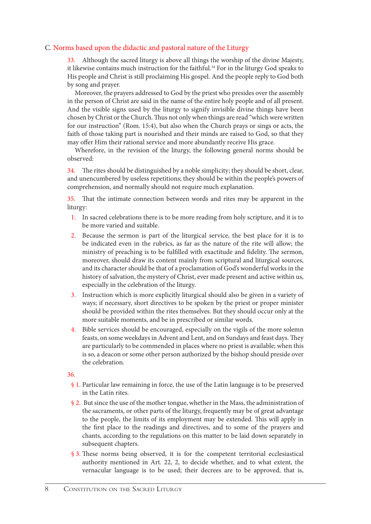#### <span id="page-7-0"></span>C. Norms based upon the didactic and pastoral nature of the Liturgy

33. Although the sacred liturgy is above all things the worship of the divine Majesty, it likewise contains much instruction for the faithful.<sup>34</sup> For in the liturgy God speaks to His people and Christ is still proclaiming His gospel. And the people reply to God both by song and prayer.

Moreover, the prayers addressed to God by the priest who presides over the assembly in the person of Christ are said in the name of the entire holy people and of all present. And the visible signs used by the liturgy to signify invisible divine things have been chosen by Christ or the Church. Thus not only when things are read "which were written for our instruction" (Rom. 15:4), but also when the Church prays or sings or acts, the faith of those taking part is nourished and their minds are raised to God, so that they may offer Him their rational service and more abundantly receive His grace.

Wherefore, in the revision of the liturgy, the following general norms should be observed:

34. The rites should be distinguished by a noble simplicity; they should be short, clear, and unencumbered by useless repetitions; they should be within the people's powers of comprehension, and normally should not require much explanation.

35. That the intimate connection between words and rites may be apparent in the liturgy:

- 1. In sacred celebrations there is to be more reading from holy scripture, and it is to be more varied and suitable.
- 2. Because the sermon is part of the liturgical service, the best place for it is to be indicated even in the rubrics, as far as the nature of the rite will allow; the ministry of preaching is to be fulfilled with exactitude and fidelity. The sermon, moreover, should draw its content mainly from scriptural and liturgical sources, and its character should be that of a proclamation of God's wonderful works in the history of salvation, the mystery of Christ, ever made present and active within us, especially in the celebration of the liturgy.
- 3. Instruction which is more explicitly liturgical should also be given in a variety of ways; if necessary, short directives to be spoken by the priest or proper minister should be provided within the rites themselves. But they should occur only at the more suitable moments, and be in prescribed or similar words.
- 4. Bible services should be encouraged, especially on the vigils of the more solemn feasts, on some weekdays in Advent and Lent, and on Sundays and feast days. They are particularly to be commended in places where no priest is available; when this is so, a deacon or some other person authorized by the bishop should preside over the celebration.

36.

- § 1. Particular law remaining in force, the use of the Latin language is to be preserved in the Latin rites.
- § 2. But since the use of the mother tongue, whether in the Mass, the administration of the sacraments, or other parts of the liturgy, frequently may be of great advantage to the people, the limits of its employment may be extended. This will apply in the first place to the readings and directives, and to some of the prayers and chants, according to the regulations on this matter to be laid down separately in subsequent chapters.
- § 3. These norms being observed, it is for the competent territorial ecclesiastical authority mentioned in Art. 22, 2, to decide whether, and to what extent, the vernacular language is to be used; their decrees are to be approved, that is,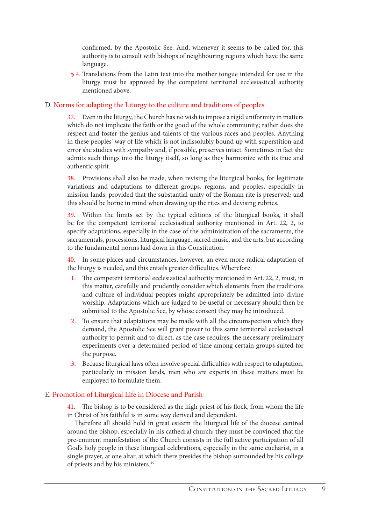<span id="page-8-0"></span>confirmed, by the Apostolic See. And, whenever it seems to be called for, this authority is to consult with bishops of neighbouring regions which have the same language.

§ 4. Translations from the Latin text into the mother tongue intended for use in the liturgy must be approved by the competent territorial ecclesiastical authority mentioned above.

### D. Norms for adapting the Liturgy to the culture and traditions of peoples

37. Even in the liturgy, the Church has no wish to impose a rigid uniformity in matters which do not implicate the faith or the good of the whole community; rather does she respect and foster the genius and talents of the various races and peoples. Anything in these peoples' way of life which is not indissolubly bound up with superstition and error she studies with sympathy and, if possible, preserves intact. Sometimes in fact she admits such things into the liturgy itself, so long as they harmonize with its true and authentic spirit.

38. Provisions shall also be made, when revising the liturgical books, for legitimate variations and adaptations to different groups, regions, and peoples, especially in mission lands, provided that the substantial unity of the Roman rite is preserved; and this should be borne in mind when drawing up the rites and devising rubrics.

39. Within the limits set by the typical editions of the liturgical books, it shall be for the competent territorial ecclesiastical authority mentioned in Art. 22, 2, to specify adaptations, especially in the case of the administration of the sacraments, the sacramentals, processions, liturgical language, sacred music, and the arts, but according to the fundamental norms laid down in this Constitution.

40. In some places and circumstances, however, an even more radical adaptation of the liturgy is needed, and this entails greater difficulties. Wherefore:

- 1. The competent territorial ecclesiastical authority mentioned in Art. 22, 2, must, in this matter, carefully and prudently consider which elements from the traditions and culture of individual peoples might appropriately be admitted into divine worship. Adaptations which are judged to be useful or necessary should then be submitted to the Apostolic See, by whose consent they may be introduced.
- 2. To ensure that adaptations may be made with all the circumspection which they demand, the Apostolic See will grant power to this same territorial ecclesiastical authority to permit and to direct, as the case requires, the necessary preliminary experiments over a determined period of time among certain groups suited for the purpose.
- 3. Because liturgical laws often involve special difficulties with respect to adaptation, particularly in mission lands, men who are experts in these matters must be employed to formulate them.

### E. Promotion of Liturgical Life in Diocese and Parish

41. The bishop is to be considered as the high priest of his flock, from whom the life in Christ of his faithful is in some way derived and dependent.

Therefore all should hold in great esteem the liturgical life of the diocese centred around the bishop, especially in his cathedral church; they must be convinced that the pre-eminent manifestation of the Church consists in the full active participation of all God's holy people in these liturgical celebrations, especially in the same eucharist, in a single prayer, at one altar, at which there presides the bishop surrounded by his college of priests and by his ministers.35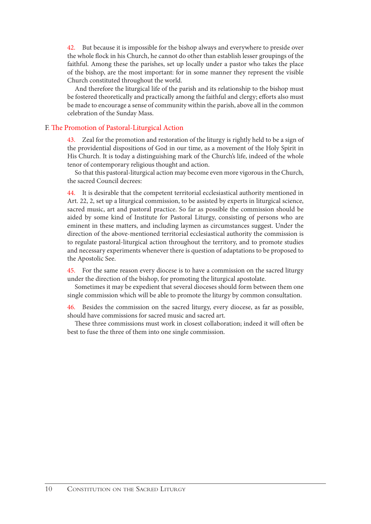<span id="page-9-0"></span>42. But because it is impossible for the bishop always and everywhere to preside over the whole flock in his Church, he cannot do other than establish lesser groupings of the faithful. Among these the parishes, set up locally under a pastor who takes the place of the bishop, are the most important: for in some manner they represent the visible Church constituted throughout the world.

And therefore the liturgical life of the parish and its relationship to the bishop must be fostered theoretically and practically among the faithful and clergy; efforts also must be made to encourage a sense of community within the parish, above all in the common celebration of the Sunday Mass.

#### F. The Promotion of Pastoral-Liturgical Action

43. Zeal for the promotion and restoration of the liturgy is rightly held to be a sign of the providential dispositions of God in our time, as a movement of the Holy Spirit in His Church. It is today a distinguishing mark of the Church's life, indeed of the whole tenor of contemporary religious thought and action.

So that this pastoral-liturgical action may become even more vigorous in the Church, the sacred Council decrees:

44. It is desirable that the competent territorial ecclesiastical authority mentioned in Art. 22, 2, set up a liturgical commission, to be assisted by experts in liturgical science, sacred music, art and pastoral practice. So far as possible the commission should be aided by some kind of Institute for Pastoral Liturgy, consisting of persons who are eminent in these matters, and including laymen as circumstances suggest. Under the direction of the above-mentioned territorial ecclesiastical authority the commission is to regulate pastoral-liturgical action throughout the territory, and to promote studies and necessary experiments whenever there is question of adaptations to be proposed to the Apostolic See.

45. For the same reason every diocese is to have a commission on the sacred liturgy under the direction of the bishop, for promoting the liturgical apostolate.

Sometimes it may be expedient that several dioceses should form between them one single commission which will be able to promote the liturgy by common consultation.

46. Besides the commission on the sacred liturgy, every diocese, as far as possible, should have commissions for sacred music and sacred art.

These three commissions must work in closest collaboration; indeed it will often be best to fuse the three of them into one single commission.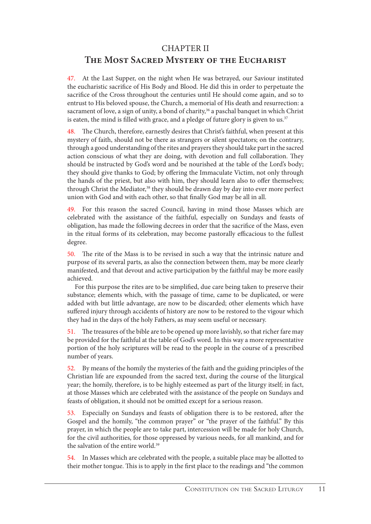## **CHAPTER II**

## **The Most Sacred Mystery of the Eucharist**

<span id="page-10-0"></span>47. At the Last Supper, on the night when He was betrayed, our Saviour instituted the eucharistic sacrifice of His Body and Blood. He did this in order to perpetuate the sacrifice of the Cross throughout the centuries until He should come again, and so to entrust to His beloved spouse, the Church, a memorial of His death and resurrection: a sacrament of love, a sign of unity, a bond of charity,<sup>36</sup> a paschal banquet in which Christ is eaten, the mind is filled with grace, and a pledge of future glory is given to us. $37$ 

48. The Church, therefore, earnestly desires that Christ's faithful, when present at this mystery of faith, should not be there as strangers or silent spectators; on the contrary, through a good understanding of the rites and prayers they should take part in the sacred action conscious of what they are doing, with devotion and full collaboration. They should be instructed by God's word and be nourished at the table of the Lord's body; they should give thanks to God; by offering the Immaculate Victim, not only through the hands of the priest, but also with him, they should learn also to offer themselves; through Christ the Mediator,<sup>38</sup> they should be drawn day by day into ever more perfect union with God and with each other, so that finally God may be all in all.

49. For this reason the sacred Council, having in mind those Masses which are celebrated with the assistance of the faithful, especially on Sundays and feasts of obligation, has made the following decrees in order that the sacrifice of the Mass, even in the ritual forms of its celebration, may become pastorally efficacious to the fullest degree.

50. The rite of the Mass is to be revised in such a way that the intrinsic nature and purpose of its several parts, as also the connection between them, may be more clearly manifested, and that devout and active participation by the faithful may be more easily achieved.

For this purpose the rites are to be simplified, due care being taken to preserve their substance; elements which, with the passage of time, came to be duplicated, or were added with but little advantage, are now to be discarded; other elements which have suffered injury through accidents of history are now to be restored to the vigour which they had in the days of the holy Fathers, as may seem useful or necessary.

51. The treasures of the bible are to be opened up more lavishly, so that richer fare may be provided for the faithful at the table of God's word. In this way a more representative portion of the holy scriptures will be read to the people in the course of a prescribed number of years.

52. By means of the homily the mysteries of the faith and the guiding principles of the Christian life are expounded from the sacred text, during the course of the liturgical year; the homily, therefore, is to be highly esteemed as part of the liturgy itself; in fact, at those Masses which are celebrated with the assistance of the people on Sundays and feasts of obligation, it should not be omitted except for a serious reason.

53. Especially on Sundays and feasts of obligation there is to be restored, after the Gospel and the homily, "the common prayer" or "the prayer of the faithful." By this prayer, in which the people are to take part, intercession will be made for holy Church, for the civil authorities, for those oppressed by various needs, for all mankind, and for the salvation of the entire world.39

54. In Masses which are celebrated with the people, a suitable place may be allotted to their mother tongue. This is to apply in the first place to the readings and "the common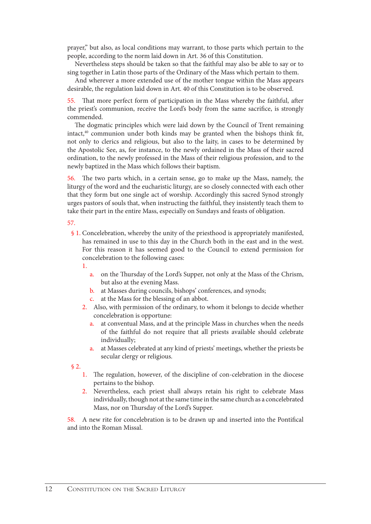prayer," but also, as local conditions may warrant, to those parts which pertain to the people, according to the norm laid down in Art. 36 of this Constitution.

Nevertheless steps should be taken so that the faithful may also be able to say or to sing together in Latin those parts of the Ordinary of the Mass which pertain to them.

And wherever a more extended use of the mother tongue within the Mass appears desirable, the regulation laid down in Art. 40 of this Constitution is to be observed.

55. That more perfect form of participation in the Mass whereby the faithful, after the priest's communion, receive the Lord's body from the same sacrifice, is strongly commended.

The dogmatic principles which were laid down by the Council of Trent remaining intact,<sup>40</sup> communion under both kinds may be granted when the bishops think fit, not only to clerics and religious, but also to the laity, in cases to be determined by the Apostolic See, as, for instance, to the newly ordained in the Mass of their sacred ordination, to the newly professed in the Mass of their religious profession, and to the newly baptized in the Mass which follows their baptism.

56. The two parts which, in a certain sense, go to make up the Mass, namely, the liturgy of the word and the eucharistic liturgy, are so closely connected with each other that they form but one single act of worship. Accordingly this sacred Synod strongly urges pastors of souls that, when instructing the faithful, they insistently teach them to take their part in the entire Mass, especially on Sundays and feasts of obligation.

#### 57.

- § 1. Concelebration, whereby the unity of the priesthood is appropriately manifested, has remained in use to this day in the Church both in the east and in the west. For this reason it has seemed good to the Council to extend permission for concelebration to the following cases:
	- 1.
		- a. on the Thursday of the Lord's Supper, not only at the Mass of the Chrism, but also at the evening Mass.
		- b. at Masses during councils, bishops' conferences, and synods;
		- c. at the Mass for the blessing of an abbot.
	- 2. Also, with permission of the ordinary, to whom it belongs to decide whether concelebration is opportune:
		- a. at conventual Mass, and at the principle Mass in churches when the needs of the faithful do not require that all priests available should celebrate individually;
		- a. at Masses celebrated at any kind of priests' meetings, whether the priests be secular clergy or religious.

§ 2.

- 1. The regulation, however, of the discipline of con-celebration in the diocese pertains to the bishop.
- 2. Nevertheless, each priest shall always retain his right to celebrate Mass individually, though not at the same time in the same church as a concelebrated Mass, nor on Thursday of the Lord's Supper.

58. A new rite for concelebration is to be drawn up and inserted into the Pontifical and into the Roman Missal.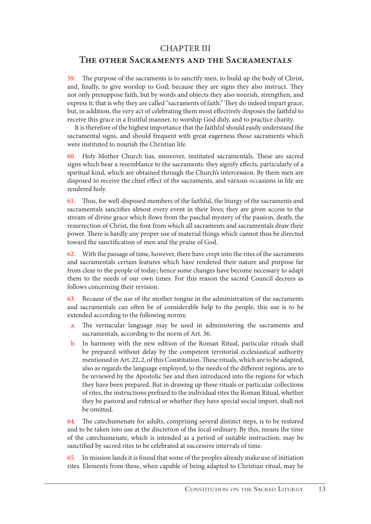### CHAPTER III

## <span id="page-12-0"></span>**The other Sacraments and the Sacramentals**

59. The purpose of the sacraments is to sanctify men, to build up the body of Christ, and, finally, to give worship to God; because they are signs they also instruct. They not only presuppose faith, but by words and objects they also nourish, strengthen, and express it; that is why they are called "sacraments of faith." They do indeed impart grace, but, in addition, the very act of celebrating them most effectively disposes the faithful to receive this grace in a fruitful manner, to worship God duly, and to practice charity.

It is therefore of the highest importance that the faithful should easily understand the sacramental signs, and should frequent with great eagerness those sacraments which were instituted to nourish the Christian life.

60. Holy Mother Church has, moreover, instituted sacramentals. These are sacred signs which bear a resemblance to the sacraments: they signify effects, particularly of a spiritual kind, which are obtained through the Church's intercession. By them men are disposed to receive the chief effect of the sacraments, and various occasions in life are rendered holy.

61. Thus, for well-disposed members of the faithful, the liturgy of the sacraments and sacramentals sanctifies almost every event in their lives; they are given access to the stream of divine grace which flows from the paschal mystery of the passion, death, the resurrection of Christ, the font from which all sacraments and sacramentals draw their power. There is hardly any proper use of material things which cannot thus be directed toward the sanctification of men and the praise of God.

62. With the passage of time, however, there have crept into the rites of the sacraments and sacramentals certain features which have rendered their nature and purpose far from clear to the people of today; hence some changes have become necessary to adapt them to the needs of our own times. For this reason the sacred Council decrees as follows concerning their revision.

63. Because of the use of the mother tongue in the administration of the sacraments and sacramentals can often be of considerable help to the people, this use is to be extended according to the following norms:

- a. The vernacular language may be used in administering the sacraments and sacramentals, according to the norm of Art. 36.
- b. In harmony with the new edition of the Roman Ritual, particular rituals shall be prepared without delay by the competent territorial ecclesiastical authority mentioned in Art. 22, 2, of this Constitution. These rituals, which are to be adapted, also as regards the language employed, to the needs of the different regions, are to be reviewed by the Apostolic See and then introduced into the regions for which they have been prepared. But in drawing up these rituals or particular collections of rites, the instructions prefixed to the individual rites the Roman Ritual, whether they be pastoral and rubrical or whether they have special social import, shall not be omitted.

64. The catechumenate for adults, comprising several distinct steps, is to be restored and to be taken into use at the discretion of the local ordinary. By this, means the time of the catechumenate, which is intended as a period of suitable instruction, may be sanctified by sacred rites to be celebrated at successive intervals of time.

65. In mission lands it is found that some of the peoples already make use of initiation rites. Elements from these, when capable of being adapted to Christian ritual, may be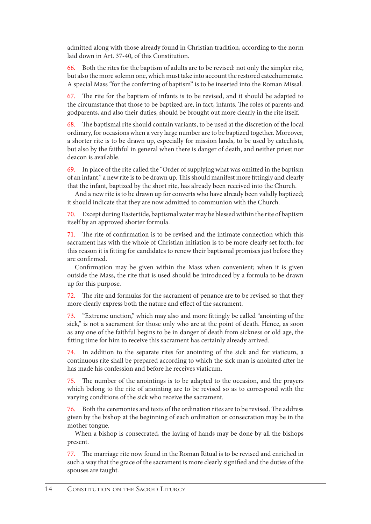admitted along with those already found in Christian tradition, according to the norm laid down in Art. 37-40, of this Constitution.

66. Both the rites for the baptism of adults are to be revised: not only the simpler rite, but also the more solemn one, which must take into account the restored catechumenate. A special Mass "for the conferring of baptism" is to be inserted into the Roman Missal.

67. The rite for the baptism of infants is to be revised, and it should be adapted to the circumstance that those to be baptized are, in fact, infants. The roles of parents and godparents, and also their duties, should be brought out more clearly in the rite itself.

The baptismal rite should contain variants, to be used at the discretion of the local ordinary, for occasions when a very large number are to be baptized together. Moreover, a shorter rite is to be drawn up, especially for mission lands, to be used by catechists, but also by the faithful in general when there is danger of death, and neither priest nor deacon is available.

69. In place of the rite called the "Order of supplying what was omitted in the baptism of an infant," a new rite is to be drawn up. This should manifest more fittingly and clearly that the infant, baptized by the short rite, has already been received into the Church.

And a new rite is to be drawn up for converts who have already been validly baptized; it should indicate that they are now admitted to communion with the Church.

70. Except during Eastertide, baptismal water may be blessed within the rite of baptism itself by an approved shorter formula.

71. The rite of confirmation is to be revised and the intimate connection which this sacrament has with the whole of Christian initiation is to be more clearly set forth; for this reason it is fitting for candidates to renew their baptismal promises just before they are confirmed.

Confirmation may be given within the Mass when convenient; when it is given outside the Mass, the rite that is used should be introduced by a formula to be drawn up for this purpose.

72. The rite and formulas for the sacrament of penance are to be revised so that they more clearly express both the nature and effect of the sacrament.

73. "Extreme unction," which may also and more fittingly be called "anointing of the sick," is not a sacrament for those only who are at the point of death. Hence, as soon as any one of the faithful begins to be in danger of death from sickness or old age, the fitting time for him to receive this sacrament has certainly already arrived.

74. In addition to the separate rites for anointing of the sick and for viaticum, a continuous rite shall be prepared according to which the sick man is anointed after he has made his confession and before he receives viaticum.

75. The number of the anointings is to be adapted to the occasion, and the prayers which belong to the rite of anointing are to be revised so as to correspond with the varying conditions of the sick who receive the sacrament.

76. Both the ceremonies and texts of the ordination rites are to be revised. The address given by the bishop at the beginning of each ordination or consecration may be in the mother tongue.

When a bishop is consecrated, the laying of hands may be done by all the bishops present.

77. The marriage rite now found in the Roman Ritual is to be revised and enriched in such a way that the grace of the sacrament is more clearly signified and the duties of the spouses are taught.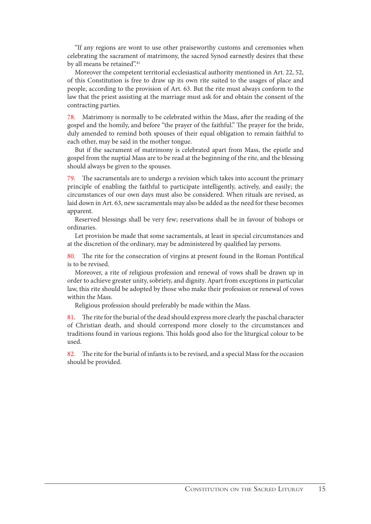"If any regions are wont to use other praiseworthy customs and ceremonies when celebrating the sacrament of matrimony, the sacred Synod earnestly desires that these by all means be retained".<sup>41</sup>

Moreover the competent territorial ecclesiastical authority mentioned in Art. 22, 52, of this Constitution is free to draw up its own rite suited to the usages of place and people, according to the provision of Art. 63. But the rite must always conform to the law that the priest assisting at the marriage must ask for and obtain the consent of the contracting parties.

78. Matrimony is normally to be celebrated within the Mass, after the reading of the gospel and the homily, and before "the prayer of the faithful." The prayer for the bride, duly amended to remind both spouses of their equal obligation to remain faithful to each other, may be said in the mother tongue.

But if the sacrament of matrimony is celebrated apart from Mass, the epistle and gospel from the nuptial Mass are to be read at the beginning of the rite, and the blessing should always be given to the spouses.

79. The sacramentals are to undergo a revision which takes into account the primary principle of enabling the faithful to participate intelligently, actively, and easily; the circumstances of our own days must also be considered. When rituals are revised, as laid down in Art. 63, new sacramentals may also be added as the need for these becomes apparent.

Reserved blessings shall be very few; reservations shall be in favour of bishops or ordinaries.

Let provision be made that some sacramentals, at least in special circumstances and at the discretion of the ordinary, may be administered by qualified lay persons.

80. The rite for the consecration of virgins at present found in the Roman Pontifical is to be revised.

Moreover, a rite of religious profession and renewal of vows shall be drawn up in order to achieve greater unity, sobriety, and dignity. Apart from exceptions in particular law, this rite should be adopted by those who make their profession or renewal of vows within the Mass.

Religious profession should preferably be made within the Mass.

81. The rite for the burial of the dead should express more clearly the paschal character of Christian death, and should correspond more closely to the circumstances and traditions found in various regions. This holds good also for the liturgical colour to be used.

82. The rite for the burial of infants is to be revised, and a special Mass for the occasion should be provided.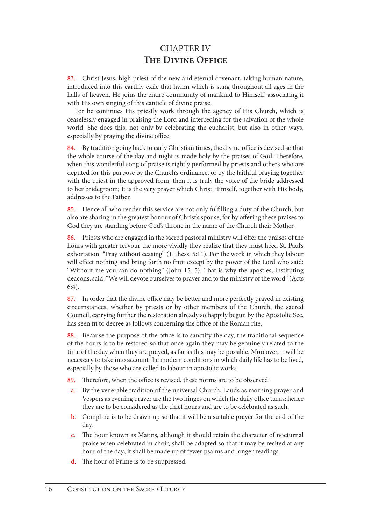## **CHAPTER IV The Divine Office**

<span id="page-15-0"></span>83. Christ Jesus, high priest of the new and eternal covenant, taking human nature, introduced into this earthly exile that hymn which is sung throughout all ages in the halls of heaven. He joins the entire community of mankind to Himself, associating it with His own singing of this canticle of divine praise.

For he continues His priestly work through the agency of His Church, which is ceaselessly engaged in praising the Lord and interceding for the salvation of the whole world. She does this, not only by celebrating the eucharist, but also in other ways, especially by praying the divine office.

84. By tradition going back to early Christian times, the divine office is devised so that the whole course of the day and night is made holy by the praises of God. Therefore, when this wonderful song of praise is rightly performed by priests and others who are deputed for this purpose by the Church's ordinance, or by the faithful praying together with the priest in the approved form, then it is truly the voice of the bride addressed to her bridegroom; It is the very prayer which Christ Himself, together with His body, addresses to the Father.

85. Hence all who render this service are not only fulfilling a duty of the Church, but also are sharing in the greatest honour of Christ's spouse, for by offering these praises to God they are standing before God's throne in the name of the Church their Mother.

86. Priests who are engaged in the sacred pastoral ministry will offer the praises of the hours with greater fervour the more vividly they realize that they must heed St. Paul's exhortation: "Pray without ceasing" (1 Thess. 5:11). For the work in which they labour will effect nothing and bring forth no fruit except by the power of the Lord who said: "Without me you can do nothing" (John 15: 5). That is why the apostles, instituting deacons, said: "We will devote ourselves to prayer and to the ministry of the word" (Acts 6:4).

87. In order that the divine office may be better and more perfectly prayed in existing circumstances, whether by priests or by other members of the Church, the sacred Council, carrying further the restoration already so happily begun by the Apostolic See, has seen fit to decree as follows concerning the office of the Roman rite.

88. Because the purpose of the office is to sanctify the day, the traditional sequence of the hours is to be restored so that once again they may be genuinely related to the time of the day when they are prayed, as far as this may be possible. Moreover, it will be necessary to take into account the modern conditions in which daily life has to be lived, especially by those who are called to labour in apostolic works.

- 89. Therefore, when the office is revised, these norms are to be observed:
- a. By the venerable tradition of the universal Church, Lauds as morning prayer and Vespers as evening prayer are the two hinges on which the daily office turns; hence they are to be considered as the chief hours and are to be celebrated as such.
- b. Compline is to be drawn up so that it will be a suitable prayer for the end of the day.
- c. The hour known as Matins, although it should retain the character of nocturnal praise when celebrated in choir, shall be adapted so that it may be recited at any hour of the day; it shall be made up of fewer psalms and longer readings.
- d. The hour of Prime is to be suppressed.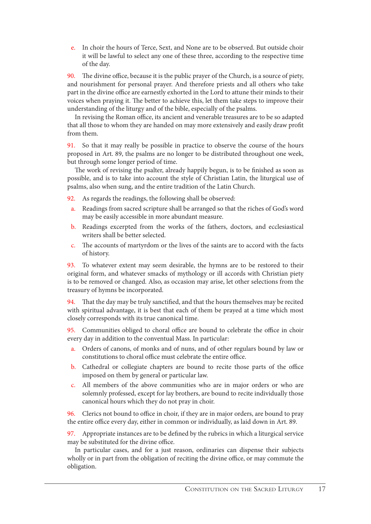e. In choir the hours of Terce, Sext, and None are to be observed. But outside choir it will be lawful to select any one of these three, according to the respective time of the day.

90. The divine office, because it is the public prayer of the Church, is a source of piety, and nourishment for personal prayer. And therefore priests and all others who take part in the divine office are earnestly exhorted in the Lord to attune their minds to their voices when praying it. The better to achieve this, let them take steps to improve their understanding of the liturgy and of the bible, especially of the psalms.

In revising the Roman office, its ancient and venerable treasures are to be so adapted that all those to whom they are handed on may more extensively and easily draw profit from them.

91. So that it may really be possible in practice to observe the course of the hours proposed in Art. 89, the psalms are no longer to be distributed throughout one week, but through some longer period of time.

The work of revising the psalter, already happily begun, is to be finished as soon as possible, and is to take into account the style of Christian Latin, the liturgical use of psalms, also when sung, and the entire tradition of the Latin Church.

- 92. As regards the readings, the following shall be observed:
	- a. Readings from sacred scripture shall be arranged so that the riches of God's word may be easily accessible in more abundant measure.
	- b. Readings excerpted from the works of the fathers, doctors, and ecclesiastical writers shall be better selected.
	- c. The accounts of martyrdom or the lives of the saints are to accord with the facts of history.

93. To whatever extent may seem desirable, the hymns are to be restored to their original form, and whatever smacks of mythology or ill accords with Christian piety is to be removed or changed. Also, as occasion may arise, let other selections from the treasury of hymns be incorporated.

That the day may be truly sanctified, and that the hours themselves may be recited with spiritual advantage, it is best that each of them be prayed at a time which most closely corresponds with its true canonical time.

95. Communities obliged to choral office are bound to celebrate the office in choir every day in addition to the conventual Mass. In particular:

- a. Orders of canons, of monks and of nuns, and of other regulars bound by law or constitutions to choral office must celebrate the entire office.
- b. Cathedral or collegiate chapters are bound to recite those parts of the office imposed on them by general or particular law.
- c. All members of the above communities who are in major orders or who are solemnly professed, except for lay brothers, are bound to recite individually those canonical hours which they do not pray in choir.

96. Clerics not bound to office in choir, if they are in major orders, are bound to pray the entire office every day, either in common or individually, as laid down in Art. 89.

97. Appropriate instances are to be defined by the rubrics in which a liturgical service may be substituted for the divine office.

In particular cases, and for a just reason, ordinaries can dispense their subjects wholly or in part from the obligation of reciting the divine office, or may commute the obligation.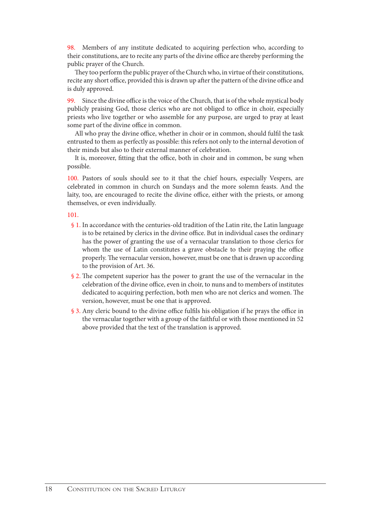98. Members of any institute dedicated to acquiring perfection who, according to their constitutions, are to recite any parts of the divine office are thereby performing the public prayer of the Church.

They too perform the public prayer of the Church who, in virtue of their constitutions, recite any short office, provided this is drawn up after the pattern of the divine office and is duly approved.

99. Since the divine office is the voice of the Church, that is of the whole mystical body publicly praising God, those clerics who are not obliged to office in choir, especially priests who live together or who assemble for any purpose, are urged to pray at least some part of the divine office in common.

All who pray the divine office, whether in choir or in common, should fulfil the task entrusted to them as perfectly as possible: this refers not only to the internal devotion of their minds but also to their external manner of celebration.

It is, moreover, fitting that the office, both in choir and in common, be sung when possible.

100. Pastors of souls should see to it that the chief hours, especially Vespers, are celebrated in common in church on Sundays and the more solemn feasts. And the laity, too, are encouraged to recite the divine office, either with the priests, or among themselves, or even individually.

101.

- § 1. In accordance with the centuries-old tradition of the Latin rite, the Latin language is to be retained by clerics in the divine office. But in individual cases the ordinary has the power of granting the use of a vernacular translation to those clerics for whom the use of Latin constitutes a grave obstacle to their praying the office properly. The vernacular version, however, must be one that is drawn up according to the provision of Art. 36.
- § 2. The competent superior has the power to grant the use of the vernacular in the celebration of the divine office, even in choir, to nuns and to members of institutes dedicated to acquiring perfection, both men who are not clerics and women. The version, however, must be one that is approved.
- § 3. Any cleric bound to the divine office fulfils his obligation if he prays the office in the vernacular together with a group of the faithful or with those mentioned in 52 above provided that the text of the translation is approved.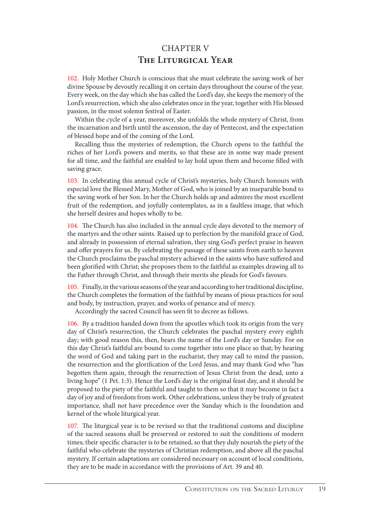## **CHAPTER V The Liturgical Year**

<span id="page-18-0"></span>102. Holy Mother Church is conscious that she must celebrate the saving work of her divine Spouse by devoutly recalling it on certain days throughout the course of the year. Every week, on the day which she has called the Lord's day, she keeps the memory of the Lord's resurrection, which she also celebrates once in the year, together with His blessed passion, in the most solemn festival of Easter.

Within the cycle of a year, moreover, she unfolds the whole mystery of Christ, from the incarnation and birth until the ascension, the day of Pentecost, and the expectation of blessed hope and of the coming of the Lord.

Recalling thus the mysteries of redemption, the Church opens to the faithful the riches of her Lord's powers and merits, so that these are in some way made present for all time, and the faithful are enabled to lay hold upon them and become filled with saving grace.

103. In celebrating this annual cycle of Christ's mysteries, holy Church honours with especial love the Blessed Mary, Mother of God, who is joined by an inseparable bond to the saving work of her Son. In her the Church holds up and admires the most excellent fruit of the redemption, and joyfully contemplates, as in a faultless image, that which she herself desires and hopes wholly to be.

104. The Church has also included in the annual cycle days devoted to the memory of the martyrs and the other saints. Raised up to perfection by the manifold grace of God, and already in possession of eternal salvation, they sing God's perfect praise in heaven and offer prayers for us. By celebrating the passage of these saints from earth to heaven the Church proclaims the paschal mystery achieved in the saints who have suffered and been glorified with Christ; she proposes them to the faithful as examples drawing all to the Father through Christ, and through their merits she pleads for God's favours.

105. Finally, in the various seasons of the year and according to her traditional discipline, the Church completes the formation of the faithful by means of pious practices for soul and body, by instruction, prayer, and works of penance and of mercy.

Accordingly the sacred Council has seen fit to decree as follows.

106. By a tradition handed down from the apostles which took its origin from the very day of Christ's resurrection, the Church celebrates the paschal mystery every eighth day; with good reason this, then, bears the name of the Lord's day or Sunday. For on this day Christ's faithful are bound to come together into one place so that; by hearing the word of God and taking part in the eucharist, they may call to mind the passion, the resurrection and the glorification of the Lord Jesus, and may thank God who "has begotten them again, through the resurrection of Jesus Christ from the dead, unto a living hope" (1 Pet. 1:3). Hence the Lord's day is the original feast day, and it should be proposed to the piety of the faithful and taught to them so that it may become in fact a day of joy and of freedom from work. Other celebrations, unless they be truly of greatest importance, shall not have precedence over the Sunday which is the foundation and kernel of the whole liturgical year.

107. The liturgical year is to be revised so that the traditional customs and discipline of the sacred seasons shall be preserved or restored to suit the conditions of modern times; their specific character is to be retained, so that they duly nourish the piety of the faithful who celebrate the mysteries of Christian redemption, and above all the paschal mystery. If certain adaptations are considered necessary on account of local conditions, they are to be made in accordance with the provisions of Art. 39 and 40.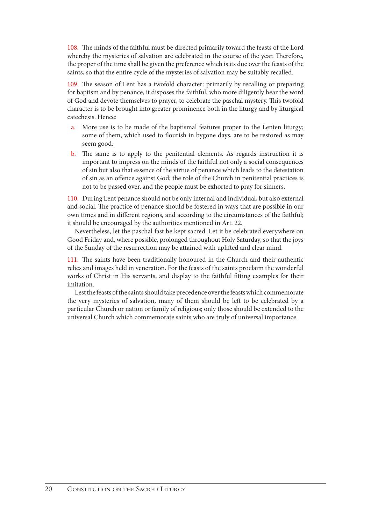108. The minds of the faithful must be directed primarily toward the feasts of the Lord whereby the mysteries of salvation are celebrated in the course of the year. Therefore, the proper of the time shall be given the preference which is its due over the feasts of the saints, so that the entire cycle of the mysteries of salvation may be suitably recalled.

109. The season of Lent has a twofold character: primarily by recalling or preparing for baptism and by penance, it disposes the faithful, who more diligently hear the word of God and devote themselves to prayer, to celebrate the paschal mystery. This twofold character is to be brought into greater prominence both in the liturgy and by liturgical catechesis. Hence:

- a. More use is to be made of the baptismal features proper to the Lenten liturgy; some of them, which used to flourish in bygone days, are to be restored as may seem good.
- b. The same is to apply to the penitential elements. As regards instruction it is important to impress on the minds of the faithful not only a social consequences of sin but also that essence of the virtue of penance which leads to the detestation of sin as an offence against God; the role of the Church in penitential practices is not to be passed over, and the people must be exhorted to pray for sinners.

110. During Lent penance should not be only internal and individual, but also external and social. The practice of penance should be fostered in ways that are possible in our own times and in different regions, and according to the circumstances of the faithful; it should be encouraged by the authorities mentioned in Art. 22.

Nevertheless, let the paschal fast be kept sacred. Let it be celebrated everywhere on Good Friday and, where possible, prolonged throughout Holy Saturday, so that the joys of the Sunday of the resurrection may be attained with uplifted and clear mind.

111. The saints have been traditionally honoured in the Church and their authentic relics and images held in veneration. For the feasts of the saints proclaim the wonderful works of Christ in His servants, and display to the faithful fitting examples for their imitation.

Lest the feasts of the saints should take precedence over the feasts which commemorate the very mysteries of salvation, many of them should be left to be celebrated by a particular Church or nation or family of religious; only those should be extended to the universal Church which commemorate saints who are truly of universal importance.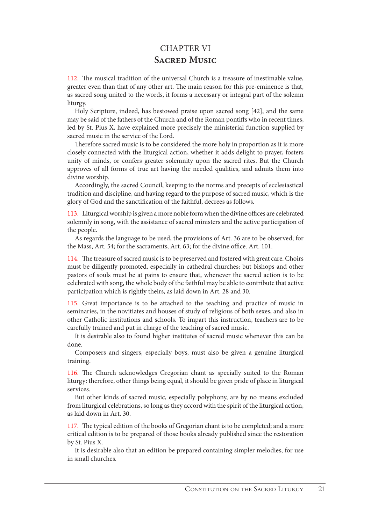## **CHAPTER VI Sacred Music**

<span id="page-20-0"></span>112. The musical tradition of the universal Church is a treasure of inestimable value, greater even than that of any other art. The main reason for this pre-eminence is that, as sacred song united to the words, it forms a necessary or integral part of the solemn liturgy.

Holy Scripture, indeed, has bestowed praise upon sacred song [42], and the same may be said of the fathers of the Church and of the Roman pontiffs who in recent times, led by St. Pius X, have explained more precisely the ministerial function supplied by sacred music in the service of the Lord.

Therefore sacred music is to be considered the more holy in proportion as it is more closely connected with the liturgical action, whether it adds delight to prayer, fosters unity of minds, or confers greater solemnity upon the sacred rites. But the Church approves of all forms of true art having the needed qualities, and admits them into divine worship.

Accordingly, the sacred Council, keeping to the norms and precepts of ecclesiastical tradition and discipline, and having regard to the purpose of sacred music, which is the glory of God and the sanctification of the faithful, decrees as follows.

113. Liturgical worship is given a more noble form when the divine offices are celebrated solemnly in song, with the assistance of sacred ministers and the active participation of the people.

As regards the language to be used, the provisions of Art. 36 are to be observed; for the Mass, Art. 54; for the sacraments, Art. 63; for the divine office. Art. 101.

114. The treasure of sacred music is to be preserved and fostered with great care. Choirs must be diligently promoted, especially in cathedral churches; but bishops and other pastors of souls must be at pains to ensure that, whenever the sacred action is to be celebrated with song, the whole body of the faithful may be able to contribute that active participation which is rightly theirs, as laid down in Art. 28 and 30.

115. Great importance is to be attached to the teaching and practice of music in seminaries, in the novitiates and houses of study of religious of both sexes, and also in other Catholic institutions and schools. To impart this instruction, teachers are to be carefully trained and put in charge of the teaching of sacred music.

It is desirable also to found higher institutes of sacred music whenever this can be done.

Composers and singers, especially boys, must also be given a genuine liturgical training.

116. The Church acknowledges Gregorian chant as specially suited to the Roman liturgy: therefore, other things being equal, it should be given pride of place in liturgical services.

But other kinds of sacred music, especially polyphony, are by no means excluded from liturgical celebrations, so long as they accord with the spirit of the liturgical action, as laid down in Art. 30.

117. The typical edition of the books of Gregorian chant is to be completed; and a more critical edition is to be prepared of those books already published since the restoration by St. Pius X.

It is desirable also that an edition be prepared containing simpler melodies, for use in small churches.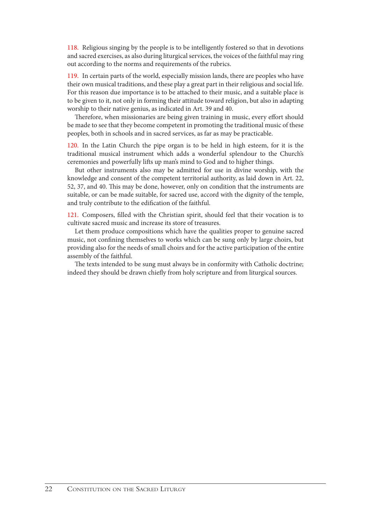118. Religious singing by the people is to be intelligently fostered so that in devotions and sacred exercises, as also during liturgical services, the voices of the faithful may ring out according to the norms and requirements of the rubrics.

119. In certain parts of the world, especially mission lands, there are peoples who have their own musical traditions, and these play a great part in their religious and social life. For this reason due importance is to be attached to their music, and a suitable place is to be given to it, not only in forming their attitude toward religion, but also in adapting worship to their native genius, as indicated in Art. 39 and 40.

Therefore, when missionaries are being given training in music, every effort should be made to see that they become competent in promoting the traditional music of these peoples, both in schools and in sacred services, as far as may be practicable.

120. In the Latin Church the pipe organ is to be held in high esteem, for it is the traditional musical instrument which adds a wonderful splendour to the Church's ceremonies and powerfully lifts up man's mind to God and to higher things.

But other instruments also may be admitted for use in divine worship, with the knowledge and consent of the competent territorial authority, as laid down in Art. 22, 52, 37, and 40. This may be done, however, only on condition that the instruments are suitable, or can be made suitable, for sacred use, accord with the dignity of the temple, and truly contribute to the edification of the faithful.

121. Composers, filled with the Christian spirit, should feel that their vocation is to cultivate sacred music and increase its store of treasures.

Let them produce compositions which have the qualities proper to genuine sacred music, not confining themselves to works which can be sung only by large choirs, but providing also for the needs of small choirs and for the active participation of the entire assembly of the faithful.

The texts intended to be sung must always be in conformity with Catholic doctrine; indeed they should be drawn chiefly from holy scripture and from liturgical sources.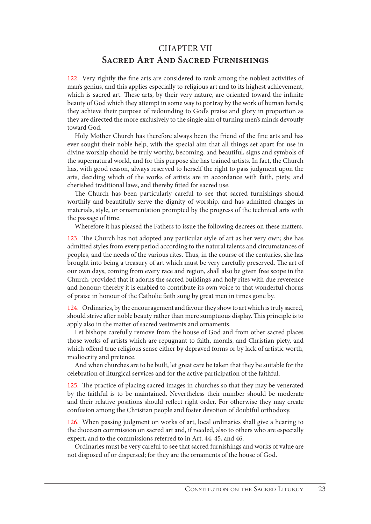## **CHAPTER VII Sacred Art And Sacred Furnishings**

<span id="page-22-0"></span>122. Very rightly the fine arts are considered to rank among the noblest activities of man's genius, and this applies especially to religious art and to its highest achievement, which is sacred art. These arts, by their very nature, are oriented toward the infinite beauty of God which they attempt in some way to portray by the work of human hands; they achieve their purpose of redounding to God's praise and glory in proportion as they are directed the more exclusively to the single aim of turning men's minds devoutly toward God.

Holy Mother Church has therefore always been the friend of the fine arts and has ever sought their noble help, with the special aim that all things set apart for use in divine worship should be truly worthy, becoming, and beautiful, signs and symbols of the supernatural world, and for this purpose she has trained artists. In fact, the Church has, with good reason, always reserved to herself the right to pass judgment upon the arts, deciding which of the works of artists are in accordance with faith, piety, and cherished traditional laws, and thereby fitted for sacred use.

The Church has been particularly careful to see that sacred furnishings should worthily and beautifully serve the dignity of worship, and has admitted changes in materials, style, or ornamentation prompted by the progress of the technical arts with the passage of time.

Wherefore it has pleased the Fathers to issue the following decrees on these matters.

123. The Church has not adopted any particular style of art as her very own; she has admitted styles from every period according to the natural talents and circumstances of peoples, and the needs of the various rites. Thus, in the course of the centuries, she has brought into being a treasury of art which must be very carefully preserved. The art of our own days, coming from every race and region, shall also be given free scope in the Church, provided that it adorns the sacred buildings and holy rites with due reverence and honour; thereby it is enabled to contribute its own voice to that wonderful chorus of praise in honour of the Catholic faith sung by great men in times gone by.

124. Ordinaries, by the encouragement and favour they show to art which is truly sacred, should strive after noble beauty rather than mere sumptuous display. This principle is to apply also in the matter of sacred vestments and ornaments.

Let bishops carefully remove from the house of God and from other sacred places those works of artists which are repugnant to faith, morals, and Christian piety, and which offend true religious sense either by depraved forms or by lack of artistic worth, mediocrity and pretence.

And when churches are to be built, let great care be taken that they be suitable for the celebration of liturgical services and for the active participation of the faithful.

125. The practice of placing sacred images in churches so that they may be venerated by the faithful is to be maintained. Nevertheless their number should be moderate and their relative positions should reflect right order. For otherwise they may create confusion among the Christian people and foster devotion of doubtful orthodoxy.

126. When passing judgment on works of art, local ordinaries shall give a hearing to the diocesan commission on sacred art and, if needed, also to others who are especially expert, and to the commissions referred to in Art. 44, 45, and 46.

Ordinaries must be very careful to see that sacred furnishings and works of value are not disposed of or dispersed; for they are the ornaments of the house of God.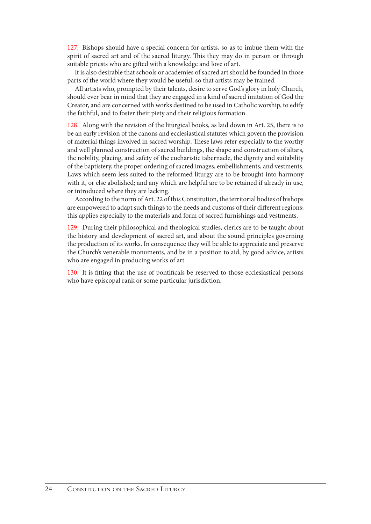127. Bishops should have a special concern for artists, so as to imbue them with the spirit of sacred art and of the sacred liturgy. This they may do in person or through suitable priests who are gifted with a knowledge and love of art.

It is also desirable that schools or academies of sacred art should be founded in those parts of the world where they would be useful, so that artists may be trained.

All artists who, prompted by their talents, desire to serve God's glory in holy Church, should ever bear in mind that they are engaged in a kind of sacred imitation of God the Creator, and are concerned with works destined to be used in Catholic worship, to edify the faithful, and to foster their piety and their religious formation.

128. Along with the revision of the liturgical books, as laid down in Art. 25, there is to be an early revision of the canons and ecclesiastical statutes which govern the provision of material things involved in sacred worship. These laws refer especially to the worthy and well planned construction of sacred buildings, the shape and construction of altars, the nobility, placing, and safety of the eucharistic tabernacle, the dignity and suitability of the baptistery, the proper ordering of sacred images, embellishments, and vestments. Laws which seem less suited to the reformed liturgy are to be brought into harmony with it, or else abolished; and any which are helpful are to be retained if already in use, or introduced where they are lacking.

According to the norm of Art. 22 of this Constitution, the territorial bodies of bishops are empowered to adapt such things to the needs and customs of their different regions; this applies especially to the materials and form of sacred furnishings and vestments.

129. During their philosophical and theological studies, clerics are to be taught about the history and development of sacred art, and about the sound principles governing the production of its works. In consequence they will be able to appreciate and preserve the Church's venerable monuments, and be in a position to aid, by good advice, artists who are engaged in producing works of art.

130. It is fitting that the use of pontificals be reserved to those ecclesiastical persons who have episcopal rank or some particular jurisdiction.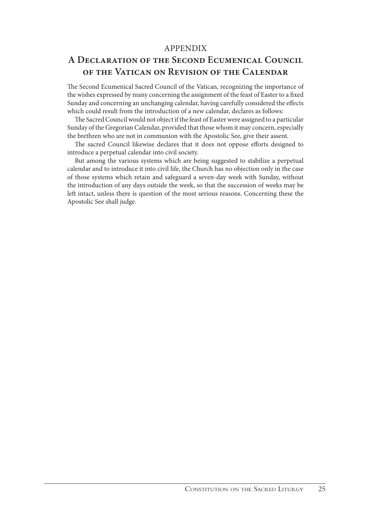### Appendix

# <span id="page-24-0"></span>**A Declaration of the Second Ecumenical Council of the Vatican on Revision of the Calendar**

The Second Ecumenical Sacred Council of the Vatican, recognizing the importance of the wishes expressed by many concerning the assignment of the feast of Easter to a fixed Sunday and concerning an unchanging calendar, having carefully considered the effects which could result from the introduction of a new calendar, declares as follows:

The Sacred Council would not object if the feast of Easter were assigned to a particular Sunday of the Gregorian Calendar, provided that those whom it may concern, especially the brethren who are not in communion with the Apostolic See, give their assent.

The sacred Council likewise declares that it does not oppose efforts designed to introduce a perpetual calendar into civil society.

But among the various systems which are being suggested to stabilize a perpetual calendar and to introduce it into civil life, the Church has no objection only in the case of those systems which retain and safeguard a seven-day week with Sunday, without the introduction of any days outside the week, so that the succession of weeks may be left intact, unless there is question of the most serious reasons. Concerning these the Apostolic See shall judge.